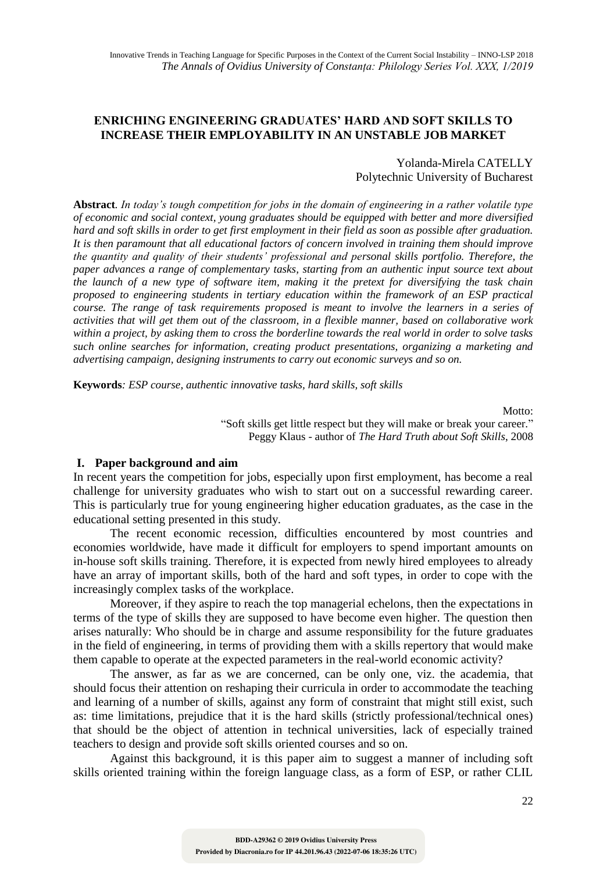## **ENRICHING ENGINEERING GRADUATES' HARD AND SOFT SKILLS TO INCREASE THEIR EMPLOYABILITY IN AN UNSTABLE JOB MARKET**

### Yolanda-Mirela CATELLY Polytechnic University of Bucharest

**Abstract***. In today's tough competition for jobs in the domain of engineering in a rather volatile type of economic and social context, young graduates should be equipped with better and more diversified hard and soft skills in order to get first employment in their field as soon as possible after graduation. It is then paramount that all educational factors of concern involved in training them should improve the quantity and quality of their students' professional and personal skills portfolio. Therefore, the paper advances a range of complementary tasks, starting from an authentic input source text about the launch of a new type of software item, making it the pretext for diversifying the task chain proposed to engineering students in tertiary education within the framework of an ESP practical course. The range of task requirements proposed is meant to involve the learners in a series of activities that will get them out of the classroom, in a flexible manner, based on collaborative work within a project, by asking them to cross the borderline towards the real world in order to solve tasks such online searches for information, creating product presentations, organizing a marketing and advertising campaign, designing instruments to carry out economic surveys and so on.* 

**Keywords***: ESP course, authentic innovative tasks, hard skills, soft skills*

Motto:

"Soft skills get little respect but they will make or break your career." Peggy Klaus - author of *The Hard Truth about Soft Skills*, 2008

#### **I. Paper background and aim**

In recent years the competition for jobs, especially upon first employment, has become a real challenge for university graduates who wish to start out on a successful rewarding career. This is particularly true for young engineering higher education graduates, as the case in the educational setting presented in this study.

The recent economic recession, difficulties encountered by most countries and economies worldwide, have made it difficult for employers to spend important amounts on in-house soft skills training. Therefore, it is expected from newly hired employees to already have an array of important skills, both of the hard and soft types, in order to cope with the increasingly complex tasks of the workplace.

Moreover, if they aspire to reach the top managerial echelons, then the expectations in terms of the type of skills they are supposed to have become even higher. The question then arises naturally: Who should be in charge and assume responsibility for the future graduates in the field of engineering, in terms of providing them with a skills repertory that would make them capable to operate at the expected parameters in the real-world economic activity?

The answer, as far as we are concerned, can be only one, viz. the academia, that should focus their attention on reshaping their curricula in order to accommodate the teaching and learning of a number of skills, against any form of constraint that might still exist, such as: time limitations, prejudice that it is the hard skills (strictly professional/technical ones) that should be the object of attention in technical universities, lack of especially trained teachers to design and provide soft skills oriented courses and so on.

Against this background, it is this paper aim to suggest a manner of including soft skills oriented training within the foreign language class, as a form of ESP, or rather CLIL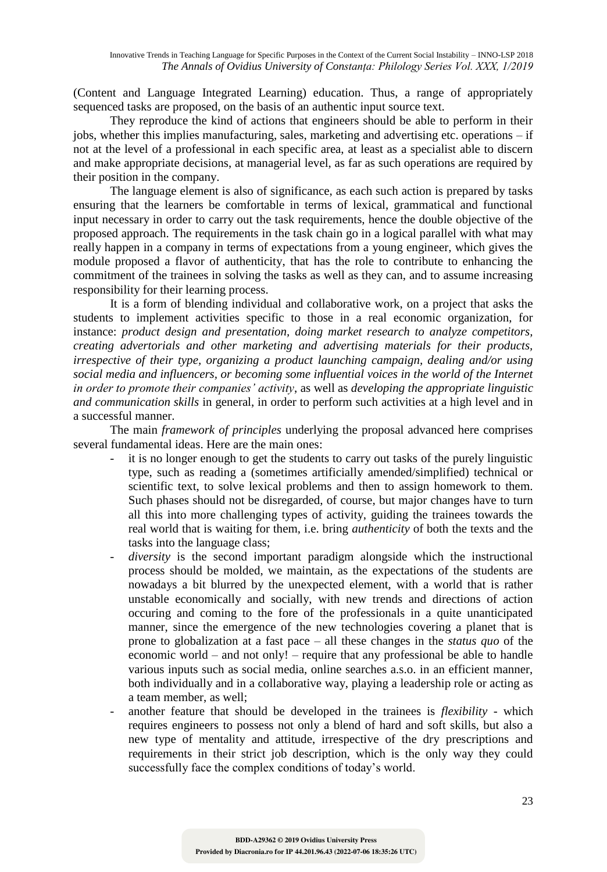(Content and Language Integrated Learning) education. Thus, a range of appropriately sequenced tasks are proposed, on the basis of an authentic input source text.

They reproduce the kind of actions that engineers should be able to perform in their jobs, whether this implies manufacturing, sales, marketing and advertising etc. operations – if not at the level of a professional in each specific area, at least as a specialist able to discern and make appropriate decisions, at managerial level, as far as such operations are required by their position in the company.

The language element is also of significance, as each such action is prepared by tasks ensuring that the learners be comfortable in terms of lexical, grammatical and functional input necessary in order to carry out the task requirements, hence the double objective of the proposed approach. The requirements in the task chain go in a logical parallel with what may really happen in a company in terms of expectations from a young engineer, which gives the module proposed a flavor of authenticity, that has the role to contribute to enhancing the commitment of the trainees in solving the tasks as well as they can, and to assume increasing responsibility for their learning process.

It is a form of blending individual and collaborative work, on a project that asks the students to implement activities specific to those in a real economic organization, for instance: *product design and presentation, doing market research to analyze competitors, creating advertorials and other marketing and advertising materials for their products, irrespective of their type, organizing a product launching campaign, dealing and/or using social media and influencers, or becoming some influential voices in the world of the Internet in order to promote their companies' activity*, as well as *developing the appropriate linguistic and communication skills* in general, in order to perform such activities at a high level and in a successful manner.

The main *framework of principles* underlying the proposal advanced here comprises several fundamental ideas. Here are the main ones:

- it is no longer enough to get the students to carry out tasks of the purely linguistic type, such as reading a (sometimes artificially amended/simplified) technical or scientific text, to solve lexical problems and then to assign homework to them. Such phases should not be disregarded, of course, but major changes have to turn all this into more challenging types of activity, guiding the trainees towards the real world that is waiting for them, i.e. bring *authenticity* of both the texts and the tasks into the language class;
- diversity is the second important paradigm alongside which the instructional process should be molded, we maintain, as the expectations of the students are nowadays a bit blurred by the unexpected element, with a world that is rather unstable economically and socially, with new trends and directions of action occuring and coming to the fore of the professionals in a quite unanticipated manner, since the emergence of the new technologies covering a planet that is prone to globalization at a fast pace – all these changes in the *status quo* of the economic world – and not only! – require that any professional be able to handle various inputs such as social media, online searches a.s.o. in an efficient manner, both individually and in a collaborative way, playing a leadership role or acting as a team member, as well;
- another feature that should be developed in the trainees is *flexibility*  which requires engineers to possess not only a blend of hard and soft skills, but also a new type of mentality and attitude, irrespective of the dry prescriptions and requirements in their strict job description, which is the only way they could successfully face the complex conditions of today's world.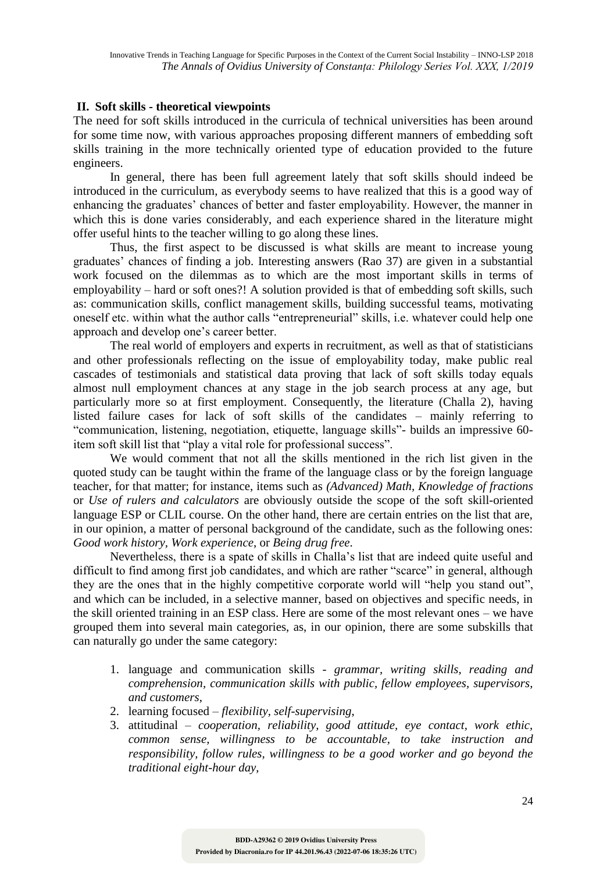## **II. Soft skills - theoretical viewpoints**

The need for soft skills introduced in the curricula of technical universities has been around for some time now, with various approaches proposing different manners of embedding soft skills training in the more technically oriented type of education provided to the future engineers.

In general, there has been full agreement lately that soft skills should indeed be introduced in the curriculum, as everybody seems to have realized that this is a good way of enhancing the graduates' chances of better and faster employability. However, the manner in which this is done varies considerably, and each experience shared in the literature might offer useful hints to the teacher willing to go along these lines.

Thus, the first aspect to be discussed is what skills are meant to increase young graduates' chances of finding a job. Interesting answers (Rao 37) are given in a substantial work focused on the dilemmas as to which are the most important skills in terms of employability – hard or soft ones?! A solution provided is that of embedding soft skills, such as: communication skills, conflict management skills, building successful teams, motivating oneself etc. within what the author calls "entrepreneurial" skills, i.e. whatever could help one approach and develop one's career better.

The real world of employers and experts in recruitment, as well as that of statisticians and other professionals reflecting on the issue of employability today, make public real cascades of testimonials and statistical data proving that lack of soft skills today equals almost null employment chances at any stage in the job search process at any age, but particularly more so at first employment. Consequently, the literature (Challa 2), having listed failure cases for lack of soft skills of the candidates – mainly referring to "communication, listening, negotiation, etiquette, language skills"- builds an impressive 60 item soft skill list that "play a vital role for professional success".

We would comment that not all the skills mentioned in the rich list given in the quoted study can be taught within the frame of the language class or by the foreign language teacher, for that matter; for instance, items such as *(Advanced) Math, Knowledge of fractions* or *Use of rulers and calculators* are obviously outside the scope of the soft skill-oriented language ESP or CLIL course. On the other hand, there are certain entries on the list that are, in our opinion, a matter of personal background of the candidate, such as the following ones: *Good work history, Work experience*, or *Being drug free*.

Nevertheless, there is a spate of skills in Challa's list that are indeed quite useful and difficult to find among first job candidates, and which are rather "scarce" in general, although they are the ones that in the highly competitive corporate world will "help you stand out", and which can be included, in a selective manner, based on objectives and specific needs, in the skill oriented training in an ESP class. Here are some of the most relevant ones – we have grouped them into several main categories, as, in our opinion, there are some subskills that can naturally go under the same category:

- 1. language and communication skills *grammar, writing skills, reading and comprehension, communication skills with public, fellow employees, supervisors, and customers*,
- 2. learning focused *flexibility, self-supervising*,
- 3. attitudinal *cooperation, reliability, good attitude, eye contact, work ethic, common sense, willingness to be accountable, to take instruction and responsibility, follow rules, willingness to be a good worker and go beyond the traditional eight-hour day*,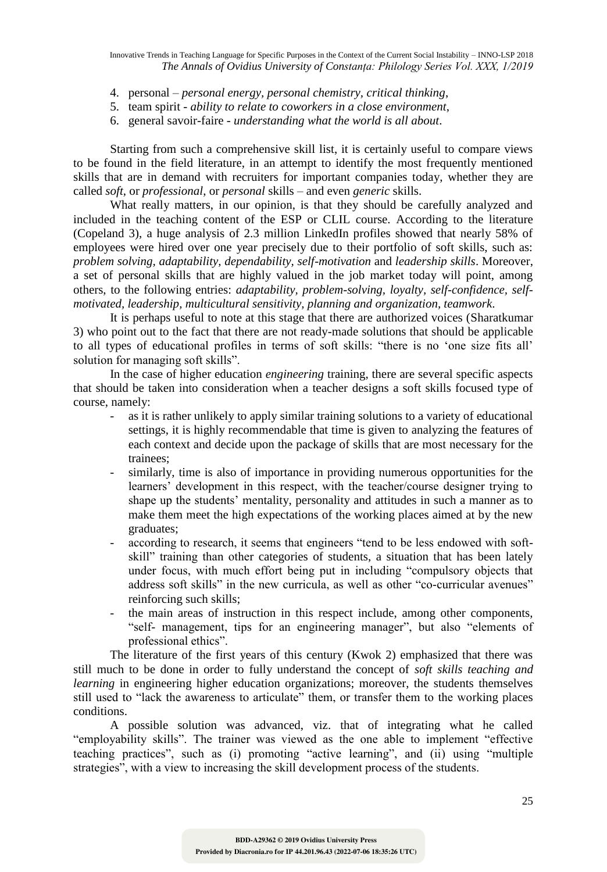Innovative Trends in Teaching Language for Specific Purposes in the Context of the Current Social Instability – INNO-LSP 2018 *The Annals of Ovidius University of Constanța: Philology Series Vol. XXX, 1/2019*

- 4. personal *personal energy, personal chemistry, critical thinking*,
- 5. team spirit *ability to relate to coworkers in a close environment*,
- 6. general savoir-faire *understanding what the world is all about*.

Starting from such a comprehensive skill list, it is certainly useful to compare views to be found in the field literature, in an attempt to identify the most frequently mentioned skills that are in demand with recruiters for important companies today, whether they are called *soft*, or *professional*, or *personal* skills – and even *generic* skills.

What really matters, in our opinion, is that they should be carefully analyzed and included in the teaching content of the ESP or CLIL course. According to the literature (Copeland 3), a huge analysis of 2.3 million LinkedIn profiles showed that nearly 58% of employees were hired over one year precisely due to their portfolio of soft skills, such as: *problem solving, adaptability, dependability, self-motivation* and *leadership skills*. Moreover, a set of personal skills that are highly valued in the job market today will point, among others, to the following entries: *adaptability, problem-solving, loyalty, self-confidence, selfmotivated, leadership, multicultural sensitivity, planning and organization, teamwork*.

It is perhaps useful to note at this stage that there are authorized voices (Sharatkumar 3) who point out to the fact that there are not ready-made solutions that should be applicable to all types of educational profiles in terms of soft skills: "there is no 'one size fits all' solution for managing soft skills".

In the case of higher education *engineering* training, there are several specific aspects that should be taken into consideration when a teacher designs a soft skills focused type of course, namely:

- as it is rather unlikely to apply similar training solutions to a variety of educational settings, it is highly recommendable that time is given to analyzing the features of each context and decide upon the package of skills that are most necessary for the trainees;
- similarly, time is also of importance in providing numerous opportunities for the learners' development in this respect, with the teacher/course designer trying to shape up the students' mentality, personality and attitudes in such a manner as to make them meet the high expectations of the working places aimed at by the new graduates;
- according to research, it seems that engineers "tend to be less endowed with softskill" training than other categories of students, a situation that has been lately under focus, with much effort being put in including "compulsory objects that address soft skills" in the new curricula, as well as other "co-curricular avenues" reinforcing such skills;
- the main areas of instruction in this respect include, among other components, "self- management, tips for an engineering manager", but also "elements of professional ethics".

The literature of the first years of this century (Kwok 2) emphasized that there was still much to be done in order to fully understand the concept of *soft skills teaching and learning* in engineering higher education organizations; moreover, the students themselves still used to "lack the awareness to articulate" them, or transfer them to the working places conditions.

A possible solution was advanced, viz. that of integrating what he called "employability skills". The trainer was viewed as the one able to implement "effective teaching practices", such as (i) promoting "active learning", and (ii) using "multiple strategies", with a view to increasing the skill development process of the students.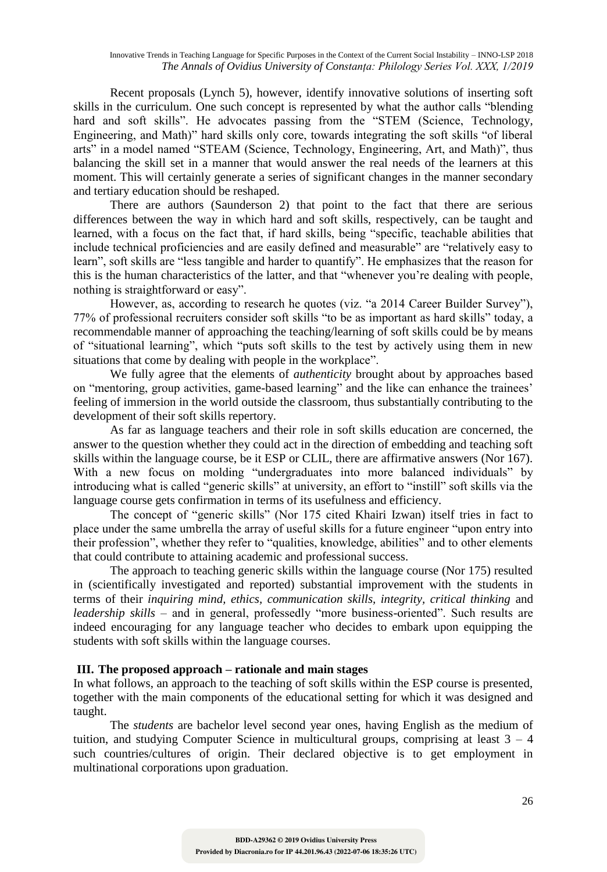Recent proposals (Lynch 5), however, identify innovative solutions of inserting soft skills in the curriculum. One such concept is represented by what the author calls "blending hard and soft skills". He advocates passing from the "STEM (Science, Technology, Engineering, and Math)" hard skills only core, towards integrating the soft skills "of liberal arts" in a model named "STEAM (Science, Technology, Engineering, Art, and Math)", thus balancing the skill set in a manner that would answer the real needs of the learners at this moment. This will certainly generate a series of significant changes in the manner secondary and tertiary education should be reshaped.

There are authors (Saunderson 2) that point to the fact that there are serious differences between the way in which hard and soft skills, respectively, can be taught and learned, with a focus on the fact that, if hard skills, being "specific, teachable abilities that include technical proficiencies and are easily defined and measurable" are "relatively easy to learn", soft skills are "less tangible and harder to quantify". He emphasizes that the reason for this is the human characteristics of the latter, and that "whenever you're dealing with people, nothing is straightforward or easy".

However, as, according to research he quotes (viz. "a 2014 Career Builder Survey"), 77% of professional recruiters consider soft skills "to be as important as hard skills" today, a recommendable manner of approaching the teaching/learning of soft skills could be by means of "situational learning", which "puts soft skills to the test by actively using them in new situations that come by dealing with people in the workplace".

We fully agree that the elements of *authenticity* brought about by approaches based on "mentoring, group activities, game-based learning" and the like can enhance the trainees' feeling of immersion in the world outside the classroom, thus substantially contributing to the development of their soft skills repertory.

As far as language teachers and their role in soft skills education are concerned, the answer to the question whether they could act in the direction of embedding and teaching soft skills within the language course, be it ESP or CLIL, there are affirmative answers (Nor 167). With a new focus on molding "undergraduates into more balanced individuals" by introducing what is called "generic skills" at university, an effort to "instill" soft skills via the language course gets confirmation in terms of its usefulness and efficiency.

The concept of "generic skills" (Nor 175 cited Khairi Izwan) itself tries in fact to place under the same umbrella the array of useful skills for a future engineer "upon entry into their profession", whether they refer to "qualities, knowledge, abilities" and to other elements that could contribute to attaining academic and professional success.

The approach to teaching generic skills within the language course (Nor 175) resulted in (scientifically investigated and reported) substantial improvement with the students in terms of their *inquiring mind, ethics, communication skills, integrity, critical thinking* and *leadership skills* – and in general, professedly "more business-oriented". Such results are indeed encouraging for any language teacher who decides to embark upon equipping the students with soft skills within the language courses.

### **III. The proposed approach – rationale and main stages**

In what follows, an approach to the teaching of soft skills within the ESP course is presented, together with the main components of the educational setting for which it was designed and taught.

The *students* are bachelor level second year ones, having English as the medium of tuition, and studying Computer Science in multicultural groups, comprising at least  $3 - 4$ such countries/cultures of origin. Their declared objective is to get employment in multinational corporations upon graduation.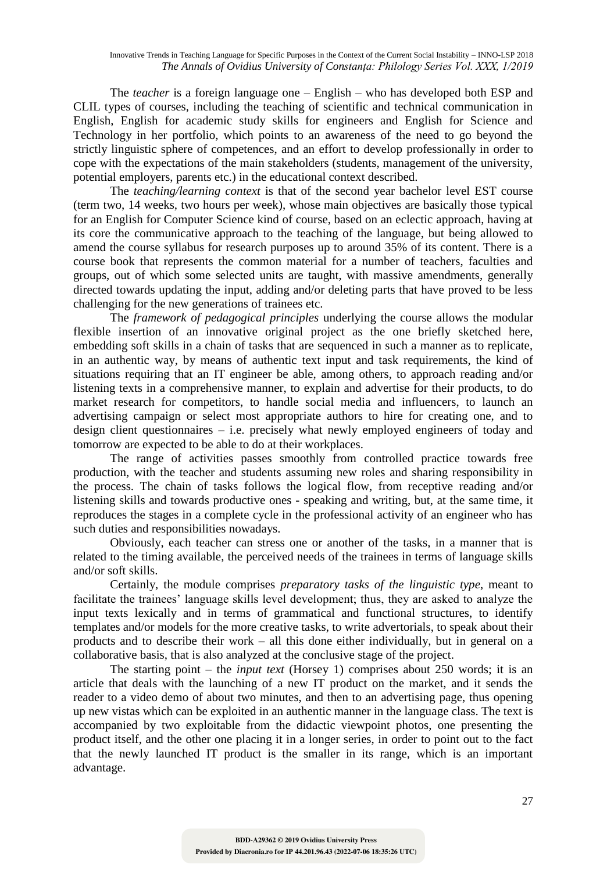The *teacher* is a foreign language one – English – who has developed both ESP and CLIL types of courses, including the teaching of scientific and technical communication in English, English for academic study skills for engineers and English for Science and Technology in her portfolio, which points to an awareness of the need to go beyond the strictly linguistic sphere of competences, and an effort to develop professionally in order to cope with the expectations of the main stakeholders (students, management of the university, potential employers, parents etc.) in the educational context described.

The *teaching/learning context* is that of the second year bachelor level EST course (term two, 14 weeks, two hours per week), whose main objectives are basically those typical for an English for Computer Science kind of course, based on an eclectic approach, having at its core the communicative approach to the teaching of the language, but being allowed to amend the course syllabus for research purposes up to around 35% of its content. There is a course book that represents the common material for a number of teachers, faculties and groups, out of which some selected units are taught, with massive amendments, generally directed towards updating the input, adding and/or deleting parts that have proved to be less challenging for the new generations of trainees etc.

The *framework of pedagogical principles* underlying the course allows the modular flexible insertion of an innovative original project as the one briefly sketched here, embedding soft skills in a chain of tasks that are sequenced in such a manner as to replicate, in an authentic way, by means of authentic text input and task requirements, the kind of situations requiring that an IT engineer be able, among others, to approach reading and/or listening texts in a comprehensive manner, to explain and advertise for their products, to do market research for competitors, to handle social media and influencers, to launch an advertising campaign or select most appropriate authors to hire for creating one, and to design client questionnaires – i.e. precisely what newly employed engineers of today and tomorrow are expected to be able to do at their workplaces.

The range of activities passes smoothly from controlled practice towards free production, with the teacher and students assuming new roles and sharing responsibility in the process. The chain of tasks follows the logical flow, from receptive reading and/or listening skills and towards productive ones - speaking and writing, but, at the same time, it reproduces the stages in a complete cycle in the professional activity of an engineer who has such duties and responsibilities nowadays.

Obviously, each teacher can stress one or another of the tasks, in a manner that is related to the timing available, the perceived needs of the trainees in terms of language skills and/or soft skills.

Certainly, the module comprises *preparatory tasks of the linguistic type*, meant to facilitate the trainees' language skills level development; thus, they are asked to analyze the input texts lexically and in terms of grammatical and functional structures, to identify templates and/or models for the more creative tasks, to write advertorials, to speak about their products and to describe their work – all this done either individually, but in general on a collaborative basis, that is also analyzed at the conclusive stage of the project.

The starting point – the *input text* (Horsey 1) comprises about 250 words; it is an article that deals with the launching of a new IT product on the market, and it sends the reader to a video demo of about two minutes, and then to an advertising page, thus opening up new vistas which can be exploited in an authentic manner in the language class. The text is accompanied by two exploitable from the didactic viewpoint photos, one presenting the product itself, and the other one placing it in a longer series, in order to point out to the fact that the newly launched IT product is the smaller in its range, which is an important advantage.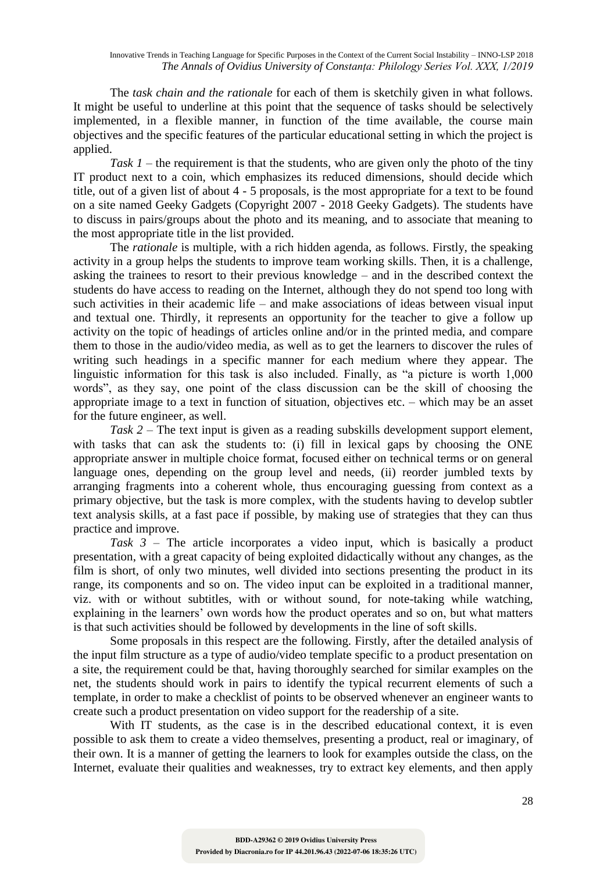The *task chain and the rationale* for each of them is sketchily given in what follows. It might be useful to underline at this point that the sequence of tasks should be selectively implemented, in a flexible manner, in function of the time available, the course main objectives and the specific features of the particular educational setting in which the project is applied.

*Task 1* – the requirement is that the students, who are given only the photo of the tiny IT product next to a coin, which emphasizes its reduced dimensions, should decide which title, out of a given list of about 4 - 5 proposals, is the most appropriate for a text to be found on a site named Geeky Gadgets (Copyright 2007 - 2018 Geeky Gadgets). The students have to discuss in pairs/groups about the photo and its meaning, and to associate that meaning to the most appropriate title in the list provided.

The *rationale* is multiple, with a rich hidden agenda, as follows. Firstly, the speaking activity in a group helps the students to improve team working skills. Then, it is a challenge, asking the trainees to resort to their previous knowledge – and in the described context the students do have access to reading on the Internet, although they do not spend too long with such activities in their academic life – and make associations of ideas between visual input and textual one. Thirdly, it represents an opportunity for the teacher to give a follow up activity on the topic of headings of articles online and/or in the printed media, and compare them to those in the audio/video media, as well as to get the learners to discover the rules of writing such headings in a specific manner for each medium where they appear. The linguistic information for this task is also included. Finally, as "a picture is worth 1,000 words", as they say, one point of the class discussion can be the skill of choosing the appropriate image to a text in function of situation, objectives etc. – which may be an asset for the future engineer, as well.

*Task 2* – The text input is given as a reading subskills development support element, with tasks that can ask the students to: (i) fill in lexical gaps by choosing the ONE appropriate answer in multiple choice format, focused either on technical terms or on general language ones, depending on the group level and needs, (ii) reorder jumbled texts by arranging fragments into a coherent whole, thus encouraging guessing from context as a primary objective, but the task is more complex, with the students having to develop subtler text analysis skills, at a fast pace if possible, by making use of strategies that they can thus practice and improve.

*Task 3* – The article incorporates a video input, which is basically a product presentation, with a great capacity of being exploited didactically without any changes, as the film is short, of only two minutes, well divided into sections presenting the product in its range, its components and so on. The video input can be exploited in a traditional manner, viz. with or without subtitles, with or without sound, for note-taking while watching, explaining in the learners' own words how the product operates and so on, but what matters is that such activities should be followed by developments in the line of soft skills.

Some proposals in this respect are the following. Firstly, after the detailed analysis of the input film structure as a type of audio/video template specific to a product presentation on a site, the requirement could be that, having thoroughly searched for similar examples on the net, the students should work in pairs to identify the typical recurrent elements of such a template, in order to make a checklist of points to be observed whenever an engineer wants to create such a product presentation on video support for the readership of a site.

With IT students, as the case is in the described educational context, it is even possible to ask them to create a video themselves, presenting a product, real or imaginary, of their own. It is a manner of getting the learners to look for examples outside the class, on the Internet, evaluate their qualities and weaknesses, try to extract key elements, and then apply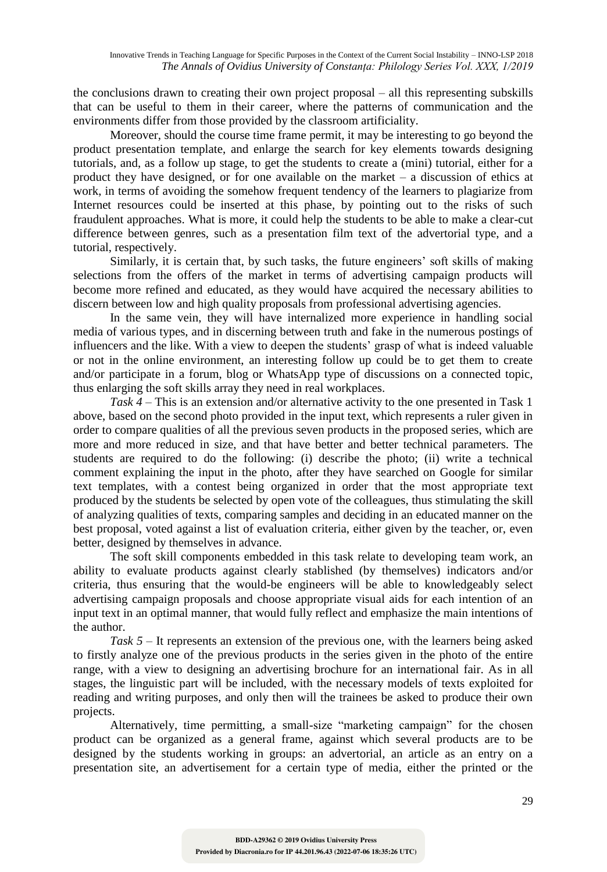the conclusions drawn to creating their own project proposal – all this representing subskills that can be useful to them in their career, where the patterns of communication and the environments differ from those provided by the classroom artificiality.

Moreover, should the course time frame permit, it may be interesting to go beyond the product presentation template, and enlarge the search for key elements towards designing tutorials, and, as a follow up stage, to get the students to create a (mini) tutorial, either for a product they have designed, or for one available on the market – a discussion of ethics at work, in terms of avoiding the somehow frequent tendency of the learners to plagiarize from Internet resources could be inserted at this phase, by pointing out to the risks of such fraudulent approaches. What is more, it could help the students to be able to make a clear-cut difference between genres, such as a presentation film text of the advertorial type, and a tutorial, respectively.

Similarly, it is certain that, by such tasks, the future engineers' soft skills of making selections from the offers of the market in terms of advertising campaign products will become more refined and educated, as they would have acquired the necessary abilities to discern between low and high quality proposals from professional advertising agencies.

In the same vein, they will have internalized more experience in handling social media of various types, and in discerning between truth and fake in the numerous postings of influencers and the like. With a view to deepen the students' grasp of what is indeed valuable or not in the online environment, an interesting follow up could be to get them to create and/or participate in a forum, blog or WhatsApp type of discussions on a connected topic, thus enlarging the soft skills array they need in real workplaces.

*Task 4* – This is an extension and/or alternative activity to the one presented in Task 1 above, based on the second photo provided in the input text, which represents a ruler given in order to compare qualities of all the previous seven products in the proposed series, which are more and more reduced in size, and that have better and better technical parameters. The students are required to do the following: (i) describe the photo; (ii) write a technical comment explaining the input in the photo, after they have searched on Google for similar text templates, with a contest being organized in order that the most appropriate text produced by the students be selected by open vote of the colleagues, thus stimulating the skill of analyzing qualities of texts, comparing samples and deciding in an educated manner on the best proposal, voted against a list of evaluation criteria, either given by the teacher, or, even better, designed by themselves in advance.

The soft skill components embedded in this task relate to developing team work, an ability to evaluate products against clearly stablished (by themselves) indicators and/or criteria, thus ensuring that the would-be engineers will be able to knowledgeably select advertising campaign proposals and choose appropriate visual aids for each intention of an input text in an optimal manner, that would fully reflect and emphasize the main intentions of the author.

*Task 5* – It represents an extension of the previous one, with the learners being asked to firstly analyze one of the previous products in the series given in the photo of the entire range, with a view to designing an advertising brochure for an international fair. As in all stages, the linguistic part will be included, with the necessary models of texts exploited for reading and writing purposes, and only then will the trainees be asked to produce their own projects.

Alternatively, time permitting, a small-size "marketing campaign" for the chosen product can be organized as a general frame, against which several products are to be designed by the students working in groups: an advertorial, an article as an entry on a presentation site, an advertisement for a certain type of media, either the printed or the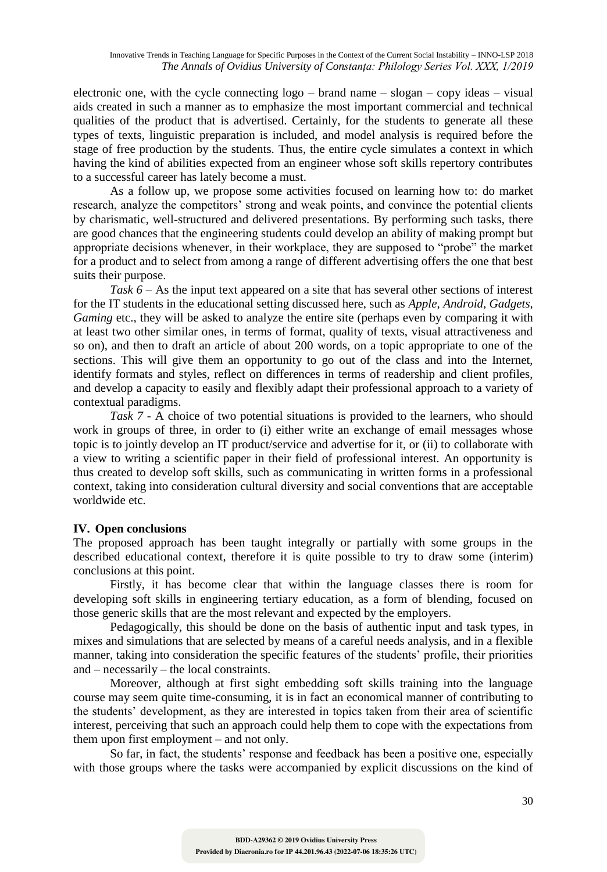electronic one, with the cycle connecting logo – brand name – slogan – copy ideas – visual aids created in such a manner as to emphasize the most important commercial and technical qualities of the product that is advertised. Certainly, for the students to generate all these types of texts, linguistic preparation is included, and model analysis is required before the stage of free production by the students. Thus, the entire cycle simulates a context in which having the kind of abilities expected from an engineer whose soft skills repertory contributes to a successful career has lately become a must.

As a follow up, we propose some activities focused on learning how to: do market research, analyze the competitors' strong and weak points, and convince the potential clients by charismatic, well-structured and delivered presentations. By performing such tasks, there are good chances that the engineering students could develop an ability of making prompt but appropriate decisions whenever, in their workplace, they are supposed to "probe" the market for a product and to select from among a range of different advertising offers the one that best suits their purpose.

*Task 6* – As the input text appeared on a site that has several other sections of interest for the IT students in the educational setting discussed here, such as *Apple, Android, Gadgets, Gaming* etc., they will be asked to analyze the entire site (perhaps even by comparing it with at least two other similar ones, in terms of format, quality of texts, visual attractiveness and so on), and then to draft an article of about 200 words, on a topic appropriate to one of the sections. This will give them an opportunity to go out of the class and into the Internet, identify formats and styles, reflect on differences in terms of readership and client profiles, and develop a capacity to easily and flexibly adapt their professional approach to a variety of contextual paradigms.

*Task 7* - A choice of two potential situations is provided to the learners, who should work in groups of three, in order to (i) either write an exchange of email messages whose topic is to jointly develop an IT product/service and advertise for it, or (ii) to collaborate with a view to writing a scientific paper in their field of professional interest. An opportunity is thus created to develop soft skills, such as communicating in written forms in a professional context, taking into consideration cultural diversity and social conventions that are acceptable worldwide etc.

## **IV. Open conclusions**

The proposed approach has been taught integrally or partially with some groups in the described educational context, therefore it is quite possible to try to draw some (interim) conclusions at this point.

Firstly, it has become clear that within the language classes there is room for developing soft skills in engineering tertiary education, as a form of blending, focused on those generic skills that are the most relevant and expected by the employers.

Pedagogically, this should be done on the basis of authentic input and task types, in mixes and simulations that are selected by means of a careful needs analysis, and in a flexible manner, taking into consideration the specific features of the students' profile, their priorities and – necessarily – the local constraints.

Moreover, although at first sight embedding soft skills training into the language course may seem quite time-consuming, it is in fact an economical manner of contributing to the students' development, as they are interested in topics taken from their area of scientific interest, perceiving that such an approach could help them to cope with the expectations from them upon first employment – and not only.

So far, in fact, the students' response and feedback has been a positive one, especially with those groups where the tasks were accompanied by explicit discussions on the kind of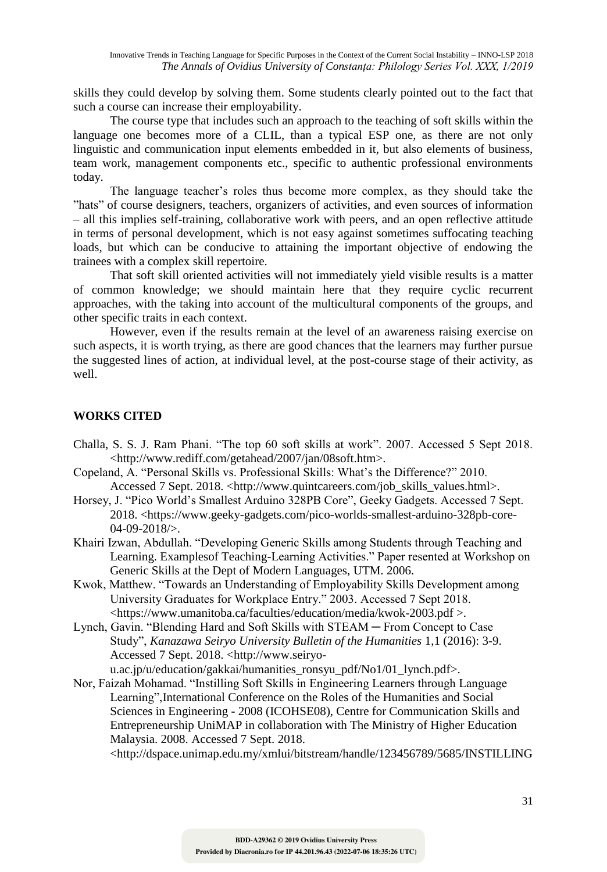skills they could develop by solving them. Some students clearly pointed out to the fact that such a course can increase their employability.

The course type that includes such an approach to the teaching of soft skills within the language one becomes more of a CLIL, than a typical ESP one, as there are not only linguistic and communication input elements embedded in it, but also elements of business, team work, management components etc., specific to authentic professional environments today.

The language teacher's roles thus become more complex, as they should take the "hats" of course designers, teachers, organizers of activities, and even sources of information – all this implies self-training, collaborative work with peers, and an open reflective attitude in terms of personal development, which is not easy against sometimes suffocating teaching loads, but which can be conducive to attaining the important objective of endowing the trainees with a complex skill repertoire.

That soft skill oriented activities will not immediately yield visible results is a matter of common knowledge; we should maintain here that they require cyclic recurrent approaches, with the taking into account of the multicultural components of the groups, and other specific traits in each context.

However, even if the results remain at the level of an awareness raising exercise on such aspects, it is worth trying, as there are good chances that the learners may further pursue the suggested lines of action, at individual level, at the post-course stage of their activity, as well.

# **WORKS CITED**

- Challa, S. S. J. Ram Phani. "The top 60 soft skills at work". 2007. Accessed 5 Sept 2018. <http://www.rediff.com/getahead/2007/jan/08soft.htm>.
- Copeland, A. "Personal Skills vs. Professional Skills: What's the Difference?" 2010. Accessed 7 Sept. 2018. <http://www.quintcareers.com/job\_skills\_values.html>.
- Horsey, J. "Pico World's Smallest Arduino 328PB Core", Geeky Gadgets. Accessed 7 Sept. 2018. <https://www.geeky-gadgets.com/pico-worlds-smallest-arduino-328pb-core-04-09-2018/>.
- Khairi Izwan, Abdullah. "Developing Generic Skills among Students through Teaching and Learning. Examplesof Teaching-Learning Activities." Paper resented at Workshop on Generic Skills at the Dept of Modern Languages, UTM. 2006.
- Kwok, Matthew. "Towards an Understanding of Employability Skills Development among University Graduates for Workplace Entry." 2003. Accessed 7 Sept 2018. <https://www.umanitoba.ca/faculties/education/media/kwok-2003.pdf >.
- Lynch, Gavin. "Blending Hard and Soft Skills with STEAM ─ From Concept to Case Study", *Kanazawa Seiryo University Bulletin of the Humanities* 1,1 (2016): 3-9. Accessed 7 Sept. 2018. <http://www.seiryo-

u.ac.jp/u/education/gakkai/humanities\_ronsyu\_pdf/No1/01\_lynch.pdf>.

Nor, Faizah Mohamad. "Instilling Soft Skills in Engineering Learners through Language Learning",International Conference on the Roles of the Humanities and Social Sciences in Engineering - 2008 (ICOHSE08), Centre for Communication Skills and Entrepreneurship UniMAP in collaboration with The Ministry of Higher Education Malaysia. 2008. Accessed 7 Sept. 2018.

<http://dspace.unimap.edu.my/xmlui/bitstream/handle/123456789/5685/INSTILLING